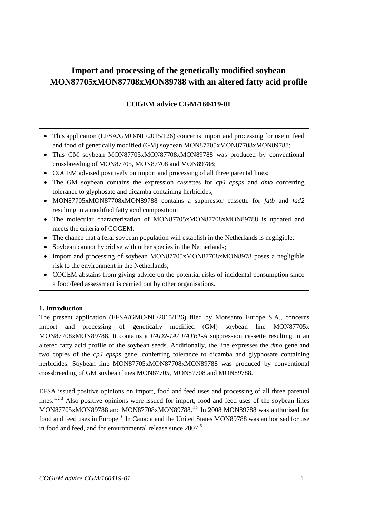# **Import and processing of the genetically modified soybean MON87705xMON87708xMON89788 with an altered fatty acid profile**

# **COGEM advice CGM/160419-01**

- This application (EFSA/GMO/NL/2015/126) concerns import and processing for use in feed and food of genetically modified (GM) soybean MON87705xMON87708xMON89788;
- This GM soybean MON87705xMON87708xMON89788 was produced by conventional crossbreeding of MON87705, MON87708 and MON89788;
- COGEM advised positively on import and processing of all three parental lines;
- The GM soybean contains the expression cassettes for *cp4 epsps* and *dmo* conferring tolerance to glyphosate and dicamba containing herbicides;
- MON87705xMON87708xMON89788 contains a suppressor cassette for *fatb* and *fad2* resulting in a modified fatty acid composition;
- The molecular characterization of MON87705xMON87708xMON89788 is updated and meets the criteria of COGEM;
- The chance that a feral soybean population will establish in the Netherlands is negligible;
- Soybean cannot hybridise with other species in the Netherlands:
- Import and processing of soybean MON87705xMON87708xMON8978 poses a negligible risk to the environment in the Netherlands;
- COGEM abstains from giving advice on the potential risks of incidental consumption since a food/feed assessment is carried out by other organisations.

# **1. Introduction**

The present application (EFSA/GMO/NL/2015/126) filed by Monsanto Europe S.A., concerns import and processing of genetically modified (GM) soybean line MON87705x MON87708xMON89788. It contains a *FAD2-1A/ FATB1-A* suppression cassette resulting in an altered fatty acid profile of the soybean seeds. Additionally, the line expresses the *dmo* gene and two copies of the *cp4 epsps* gene, conferring tolerance to dicamba and glyphosate containing herbicides. Soybean line MON87705xMON87708xMON89788 was produced by conventional crossbreeding of GM soybean lines MON87705, MON87708 and MON89788.

<span id="page-0-0"></span>EFSA issued positive opinions on import, food and feed uses and processing of all three parental lines.<sup>[1](#page-3-0),[2](#page-3-1),[3](#page-3-2)</sup> Also positive opinions were issued for import, food and feed uses of the soybean lines MON87705xMON89788 and MON87708xMON89788.<sup>[4,](#page-3-3)[5](#page-3-4)</sup> In 2008 MON89788 was authorised for food and feed uses in Europe. <sup>[6](#page-3-5)</sup> In Canada and the United States MON89788 was authorised for use in food and feed, and for environmental release since 2007.<sup>[6](#page-0-0)</sup>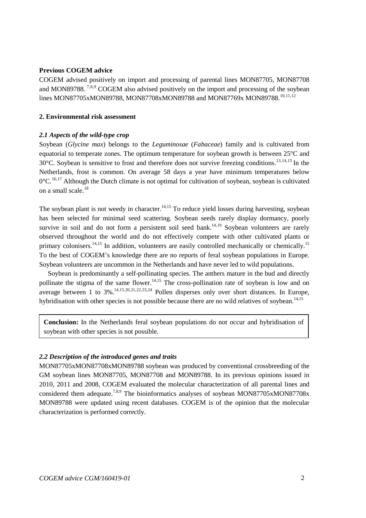#### **Previous COGEM advice**

<span id="page-1-4"></span><span id="page-1-3"></span><span id="page-1-2"></span>COGEM advised positively on import and processing of parental lines MON87705, MON87708 and MON89788.<sup>[7,](#page-4-0)[8,](#page-4-1)[9](#page-4-2)</sup> COGEM also advised positively on the import and processing of the soybean lines MON87705xMON89788, MON87708xMON89788 and MON87769x MON89788.<sup>[10,](#page-4-3)[11,](#page-4-4)[12](#page-4-5)</sup>

#### **2. Environmental risk assessment**

#### *2.1 Aspects of the wild-type crop*

<span id="page-1-1"></span><span id="page-1-0"></span>Soybean (*Glycine max*) belongs to the *Leguminosae* (*Fabaceae*) family and is cultivated from equatorial to temperate zones. The optimum temperature for soybean growth is between 25°C and  $30^{\circ}$ C. Soybean is sensitive to frost and therefore does not survive freezing conditions.<sup>[13](#page-4-6),[14,](#page-4-7)[15](#page-4-8)</sup> In the Netherlands, frost is common. On average 58 days a year have minimum temperatures below  $0^{\circ}$ C.<sup>[16](#page-4-9),[17](#page-4-10)</sup> Although the Dutch climate is not optimal for cultivation of soybean, soybean is cultivated on a small scale.<sup>[18](#page-4-11)</sup>

The soybean plant is not weedy in character.<sup>14,[15](#page-1-1)</sup> To reduce yield losses during harvesting, soybean has been selected for minimal seed scattering. Soybean seeds rarely display dormancy, poorly survive in soil and do not form a persistent soil seed bank.<sup>14,[19](#page-4-12)</sup> Soybean volunteers are rarely observed throughout the world and do not effectively compete with other cultivated plants or primary colonisers.<sup>14,[15](#page-1-1)</sup> In addition, volunteers are easily controlled mechanically or chemically.<sup>15</sup> To the best of COGEM's knowledge there are no reports of feral soybean populations in Europe. Soybean volunteers are uncommon in the Netherlands and have never led to wild populations.

Soybean is predominantly a self-pollinating species. The anthers mature in the bud and directly pollinate the stigma of the same flower.<sup>[14,](#page-1-0)[15](#page-1-1)</sup> The cross-pollination rate of soybean is low and on average between 1 to 3%.<sup>14,[15,](#page-1-1)[20,](#page-4-13)[21,](#page-4-14)[22](#page-4-15),[23](#page-4-16),[24](#page-4-17)</sup> Pollen disperses only over short distances. In Europe, hybridisation with other species is not possible because there are no wild relatives of soybean.<sup>14,[15](#page-1-1)</sup>

**Conclusion:** In the Netherlands feral soybean populations do not occur and hybridisation of soybean with other species is not possible.

#### *2.2 Description of the introduced genes and traits*

MON87705xMON87708xMON89788 soybean was produced by conventional crossbreeding of the GM soybean lines MON87705, MON87708 and MON89788. In its previous opinions issued in 2010, 2011 and 2008, COGEM evaluated the molecular characterization of all parental lines and considered them adequate.<sup>7,[8,](#page-1-3)[9](#page-1-4)</sup> The bioinformatics analyses of soybean MON87705xMON87708x MON89788 were updated using recent databases. COGEM is of the opinion that the molecular characterization is performed correctly.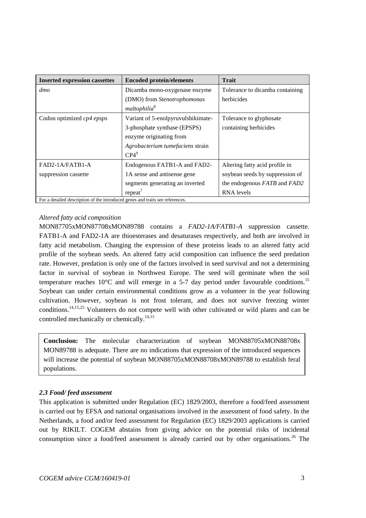| <b>Inserted expression cassettes</b>                                          | <b>Encoded protein/elements</b>    | <b>Trait</b>                    |
|-------------------------------------------------------------------------------|------------------------------------|---------------------------------|
| dmo                                                                           | Dicamba mono-oxygenase enzyme      | Tolerance to dicamba containing |
|                                                                               | (DMO) from Stenotrophomonas        | herbicides                      |
|                                                                               | maltophilia <sup>8</sup>           |                                 |
| Codon optimized cp4 epsps                                                     | Variant of 5-enolpyruvulshikimate- | Tolerance to glyphosate         |
|                                                                               | 3-phosphate synthase (EPSPS)       | containing herbicides           |
|                                                                               | enzyme originating from            |                                 |
|                                                                               | Agrobacterium tumefaciens strain   |                                 |
|                                                                               | $CP4^9$                            |                                 |
| $FAD2-1A/FATB1-A$                                                             | Endogenous FATB1-A and FAD2-       | Altering fatty acid profile in  |
| suppression cassette                                                          | 1A sense and antisense gene        | soybean seeds by suppression of |
|                                                                               | segments generating an inverted    | the endogenous FATB and FAD2    |
|                                                                               | $repeated^7$                       | <b>RNA</b> levels               |
| For a detailed description of the introduced genes and traits see references. |                                    |                                 |

## *Altered fatty acid composition*

MON87705xMON87708xMON89788 contains a *FAD2-1A/FATB1-A* suppression cassette. FATB1-A and FAD2-1A are thioesterases and desaturases respectively, and both are involved in fatty acid metabolism. Changing the expression of these proteins leads to an altered fatty acid profile of the soybean seeds. An altered fatty acid composition can influence the seed predation rate. However, predation is only one of the factors involved in seed survival and not a determining factor in survival of soybean in Northwest Europe. The seed will germinate when the soil temperature reaches  $10^{\circ}$ C and will emerge in a 5-7 day period under favourable conditions.<sup>[15](#page-1-1)</sup> Soybean can under certain environmental conditions grow as a volunteer in the year following cultivation. However, soybean is not frost tolerant, and does not survive freezing winter conditions.[14,](#page-1-0)[15,](#page-1-1)[25](#page-4-18) Volunteers do not compete well with other cultivated or wild plants and can be controlled mechanically or chemically.<sup>14,[15](#page-1-1)</sup>

**Conclusion:** The molecular characterization of soybean MON88705xMON88708x MON89788 is adequate. There are no indications that expression of the introduced sequences will increase the potential of soybean MON88705xMON88708xMON89788 to establish feral populations.

### *2.3 Food/ feed assessment*

This application is submitted under Regulation (EC) 1829/2003, therefore a food/feed assessment is carried out by EFSA and national organisations involved in the assessment of food safety. In the Netherlands, a food and/or feed assessment for Regulation (EC) 1829/2003 applications is carried out by RIKILT. COGEM abstains from giving advice on the potential risks of incidental consumption since a food/feed assessment is already carried out by other organisations.<sup>[26](#page-4-19)</sup> The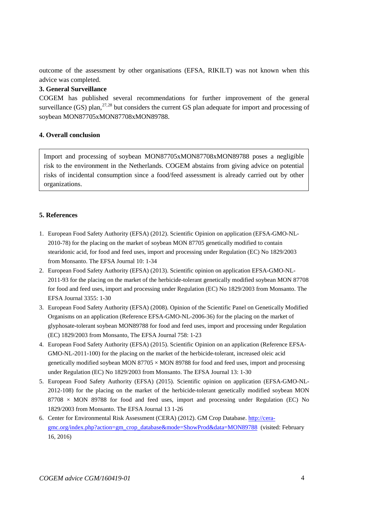outcome of the assessment by other organisations (EFSA, RIKILT) was not known when this advice was completed.

# **3. General Surveillance**

COGEM has published several recommendations for further improvement of the general surveillance (GS) plan,  $27,28$  $27,28$  $27,28$  but considers the current GS plan adequate for import and processing of soybean MON87705xMON87708xMON89788.

## **4. Overall conclusion**

Import and processing of soybean MON87705xMON87708xMON89788 poses a negligible risk to the environment in the Netherlands. COGEM abstains from giving advice on potential risks of incidental consumption since a food/feed assessment is already carried out by other organizations.

# **5. References**

- <span id="page-3-0"></span>1. European Food Safety Authority (EFSA) (2012). Scientific Opinion on application (EFSA-GMO-NL-2010-78) for the placing on the market of soybean MON 87705 genetically modified to contain stearidonic acid, for food and feed uses, import and processing under Regulation (EC) No 1829/2003 from Monsanto. The EFSA Journal 10: 1-34
- <span id="page-3-1"></span>2. European Food Safety Authority (EFSA) (2013). Scientific opinion on application EFSA-GMO-NL-2011-93 for the placing on the market of the herbicide-tolerant genetically modified soybean MON 87708 for food and feed uses, import and processing under Regulation (EC) No 1829/2003 from Monsanto. The EFSA Journal 3355: 1-30
- <span id="page-3-2"></span>3. European Food Safety Authority (EFSA) (2008). Opinion of the Scientific Panel on Genetically Modified Organisms on an application (Reference EFSA-GMO-NL-2006-36) for the placing on the market of glyphosate-tolerant soybean MON89788 for food and feed uses, import and processing under Regulation (EC) 1829/2003 from Monsanto, The EFSA Journal 758: 1-23
- <span id="page-3-3"></span>4. European Food Safety Authority (EFSA) (2015). Scientific Opinion on an application (Reference EFSA-GMO-NL-2011-100) for the placing on the market of the herbicide-tolerant, increased oleic acid genetically modified soybean MON  $87705 \times MON$  89788 for food and feed uses, import and processing under Regulation (EC) No 1829/2003 from Monsanto. The EFSA Journal 13: 1-30
- <span id="page-3-4"></span>5. European Food Safety Authority (EFSA) (2015). Scientific opinion on application (EFSA-GMO-NL-2012-108) for the placing on the market of the herbicide-tolerant genetically modified soybean MON  $87708 \times$  MON 89788 for food and feed uses, import and processing under Regulation (EC) No 1829/2003 from Monsanto. The EFSA Journal 13 1-26
- <span id="page-3-5"></span>6. Center for Environmental Risk Assessment (CERA) (2012). GM Crop Database. [http://cera](http://cera-gmc.org/index.php?action=gm_crop_database&mode=ShowProd&data=MON89788)[gmc.org/index.php?action=gm\\_crop\\_database&mode=ShowProd&data=MON89788](http://cera-gmc.org/index.php?action=gm_crop_database&mode=ShowProd&data=MON89788) (visited: February 16, 2016)